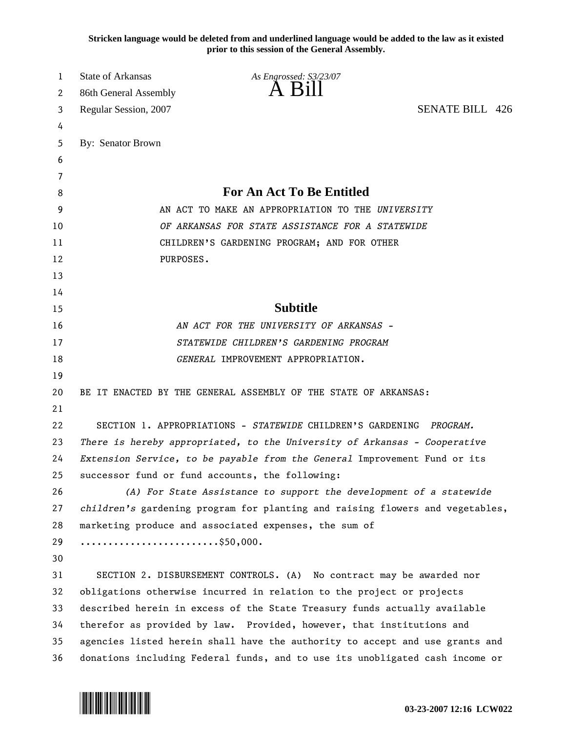**Stricken language would be deleted from and underlined language would be added to the law as it existed prior to this session of the General Assembly.**

| 1  | <b>State of Arkansas</b>                                                  | As Engrossed: S3/23/07                                                        |                        |  |
|----|---------------------------------------------------------------------------|-------------------------------------------------------------------------------|------------------------|--|
| 2  | 86th General Assembly                                                     | A K1                                                                          |                        |  |
| 3  | Regular Session, 2007                                                     |                                                                               | <b>SENATE BILL 426</b> |  |
| 4  |                                                                           |                                                                               |                        |  |
| 5  | By: Senator Brown                                                         |                                                                               |                        |  |
| 6  |                                                                           |                                                                               |                        |  |
| 7  |                                                                           |                                                                               |                        |  |
| 8  | <b>For An Act To Be Entitled</b>                                          |                                                                               |                        |  |
| 9  | AN ACT TO MAKE AN APPROPRIATION TO THE UNIVERSITY                         |                                                                               |                        |  |
| 10 | OF ARKANSAS FOR STATE ASSISTANCE FOR A STATEWIDE                          |                                                                               |                        |  |
| 11 |                                                                           | CHILDREN'S GARDENING PROGRAM; AND FOR OTHER                                   |                        |  |
| 12 | PURPOSES.                                                                 |                                                                               |                        |  |
| 13 |                                                                           |                                                                               |                        |  |
| 14 |                                                                           |                                                                               |                        |  |
| 15 |                                                                           | <b>Subtitle</b>                                                               |                        |  |
| 16 | AN ACT FOR THE UNIVERSITY OF ARKANSAS -                                   |                                                                               |                        |  |
| 17 | STATEWIDE CHILDREN'S GARDENING PROGRAM                                    |                                                                               |                        |  |
| 18 |                                                                           | GENERAL IMPROVEMENT APPROPRIATION.                                            |                        |  |
| 19 |                                                                           |                                                                               |                        |  |
| 20 |                                                                           | BE IT ENACTED BY THE GENERAL ASSEMBLY OF THE STATE OF ARKANSAS:               |                        |  |
| 21 |                                                                           |                                                                               |                        |  |
| 22 |                                                                           | SECTION 1. APPROPRIATIONS - STATEWIDE CHILDREN'S GARDENING                    | PROGRAM.               |  |
| 23 | There is hereby appropriated, to the University of Arkansas - Cooperative |                                                                               |                        |  |
| 24 |                                                                           | Extension Service, to be payable from the General Improvement Fund or its     |                        |  |
| 25 |                                                                           | successor fund or fund accounts, the following:                               |                        |  |
| 26 |                                                                           | (A) For State Assistance to support the development of a statewide            |                        |  |
| 27 |                                                                           | children's gardening program for planting and raising flowers and vegetables, |                        |  |
| 28 |                                                                           | marketing produce and associated expenses, the sum of                         |                        |  |
| 29 |                                                                           |                                                                               |                        |  |
| 30 |                                                                           |                                                                               |                        |  |
| 31 |                                                                           | SECTION 2. DISBURSEMENT CONTROLS. (A) No contract may be awarded nor          |                        |  |
| 32 |                                                                           | obligations otherwise incurred in relation to the project or projects         |                        |  |
| 33 |                                                                           | described herein in excess of the State Treasury funds actually available     |                        |  |
| 34 |                                                                           | therefor as provided by law. Provided, however, that institutions and         |                        |  |
| 35 |                                                                           | agencies listed herein shall have the authority to accept and use grants and  |                        |  |
| 36 |                                                                           | donations including Federal funds, and to use its unobligated cash income or  |                        |  |